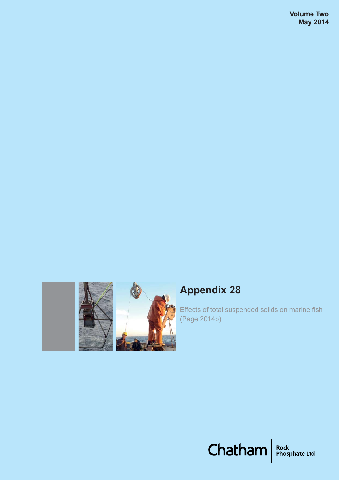

# **Appendix 28**

Effects of total suspended solids on marine fish (Page 2014b)

Chatham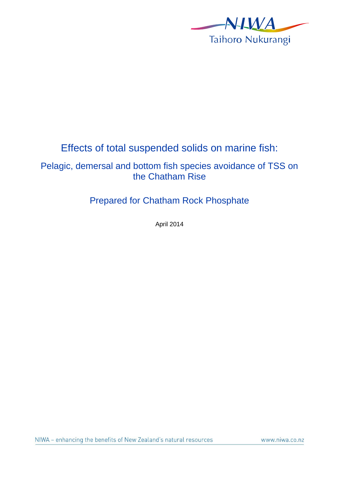

## Effects of total suspended solids on marine fish:

### Pelagic, demersal and bottom fish species avoidance of TSS on the Chatham Rise

### Prepared for Chatham Rock Phosphate

April 2014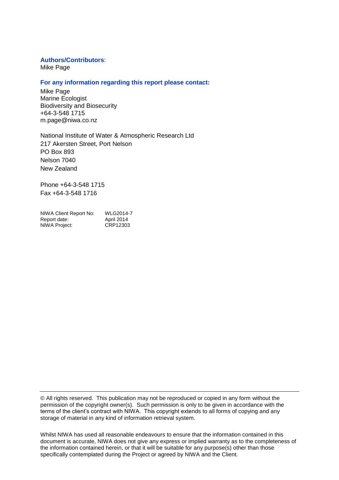#### **Authors/Contributors**:

Mike Page

#### **For any information regarding this report please contact:**

Mike Page Marine Ecologist Biodiversity and Biosecurity +64-3-548 1715 m.page@niwa.co.nz

National Institute of Water & Atmospheric Research Ltd 217 Akersten Street, Port Nelson PO Box 893 Nelson 7040 New Zealand

Phone +64-3-548 1715 Fax +64-3-548 1716

| NIWA Client Report No: | WLG2014-7  |
|------------------------|------------|
| Report date:           | April 2014 |
| NIWA Project:          | CRP12303   |

© All rights reserved. This publication may not be reproduced or copied in any form without the permission of the copyright owner(s). Such permission is only to be given in accordance with the terms of the client's contract with NIWA. This copyright extends to all forms of copying and any storage of material in any kind of information retrieval system.

Whilst NIWA has used all reasonable endeavours to ensure that the information contained in this document is accurate, NIWA does not give any express or implied warranty as to the completeness of the information contained herein, or that it will be suitable for any purpose(s) other than those specifically contemplated during the Project or agreed by NIWA and the Client.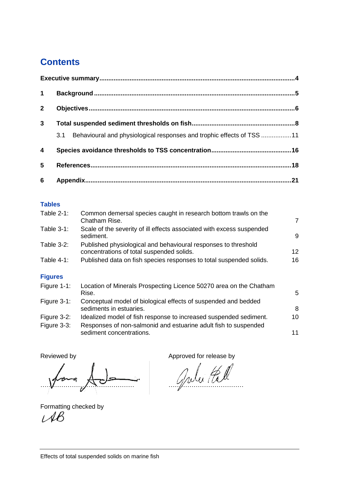## **Contents**

| $\mathbf 1$             |                                                                              |  |
|-------------------------|------------------------------------------------------------------------------|--|
| $\overline{2}$          |                                                                              |  |
| 3 <sup>1</sup>          |                                                                              |  |
|                         | Behavioural and physiological responses and trophic effects of TSS 11<br>3.1 |  |
| $\overline{\mathbf{4}}$ |                                                                              |  |
| 5                       |                                                                              |  |
| $6\phantom{1}6$         |                                                                              |  |

### **Tables**

| Table $2-1$ :  | Common demersal species caught in research bottom trawls on the<br>Chatham Rise.                            | $\overline{7}$    |
|----------------|-------------------------------------------------------------------------------------------------------------|-------------------|
| Table $3-1$ :  | Scale of the severity of ill effects associated with excess suspended<br>sediment.                          | 9                 |
| Table $3-2$ :  | Published physiological and behavioural responses to threshold<br>concentrations of total suspended solids. | $12 \overline{ }$ |
| Table $4-1$ :  | Published data on fish species responses to total suspended solids.                                         | 16                |
| <b>Figures</b> |                                                                                                             |                   |
| Figure $1-1$ : | Location of Minerals Prospecting Licence 50270 area on the Chatham<br>Rise.                                 | 5                 |
| Figure $3-1$ : | Conceptual model of biological effects of suspended and bedded<br>sediments in estuaries.                   | 8                 |

Figure 3-2: [Idealized model of fish response to increased suspended sediment.](#page-10-0) 10 Figure 3-3: [Responses of non-salmonid and estuarine adult fish](#page-11-1) to suspended [sediment concentrations.](#page-11-1) 11

Reviewed by **Approved for release by Approved for release by** 

……………………………………… ………………………………

Formatting checked by $AB$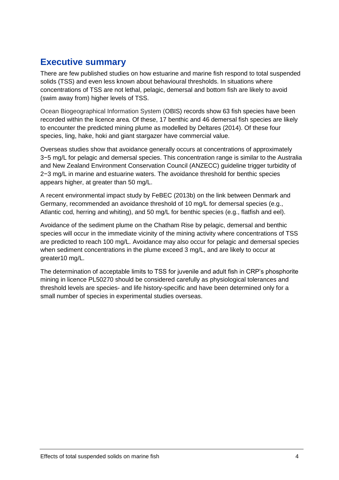## <span id="page-4-0"></span>**Executive summary**

There are few published studies on how estuarine and marine fish respond to total suspended solids (TSS) and even less known about behavioural thresholds. In situations where concentrations of TSS are not lethal, pelagic, demersal and bottom fish are likely to avoid (swim away from) higher levels of TSS.

Ocean Biogeographical Information System (OBIS) records show 63 fish species have been recorded within the licence area. Of these, 17 benthic and 46 demersal fish species are likely to encounter the predicted mining plume as modelled by [Deltares \(2014\).](#page-18-1) Of these four species, ling, hake, hoki and giant stargazer have commercial value.

Overseas studies show that avoidance generally occurs at concentrations of approximately 3−5 mg/L for pelagic and demersal species. This concentration range is similar to the Australia and New Zealand Environment Conservation Council (ANZECC) guideline trigger turbidity of 2−3 mg/L in marine and estuarine waters. The avoidance threshold for benthic species appears higher, at greater than 50 mg/L.

A recent environmental impact study by [FeBEC \(2013b\)](#page-19-0) on the link between Denmark and Germany, recommended an avoidance threshold of 10 mg/L for demersal species (e.g., Atlantic cod, herring and whiting), and 50 mg/L for benthic species (e.g., flatfish and eel).

Avoidance of the sediment plume on the Chatham Rise by pelagic, demersal and benthic species will occur in the immediate vicinity of the mining activity where concentrations of TSS are predicted to reach 100 mg/L. Avoidance may also occur for pelagic and demersal species when sediment concentrations in the plume exceed 3 mg/L, and are likely to occur at greater10 mg/L.

The determination of acceptable limits to TSS for juvenile and adult fish in CRP's phosphorite mining in licence PL50270 should be considered carefully as physiological tolerances and threshold levels are species- and life history-specific and have been determined only for a small number of species in experimental studies overseas.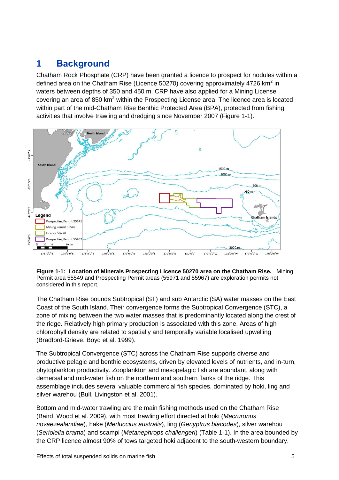## <span id="page-5-0"></span>**1 Background**

Chatham Rock Phosphate (CRP) have been granted a licence to prospect for nodules within a defined area on the Chatham Rise (Licence 50270) covering approximately 4726 km<sup>2</sup> in waters between depths of 350 and 450 m. CRP have also applied for a Mining License covering an area of 850  $km^2$  within the Prospecting License area. The licence area is located within part of the mid-Chatham Rise Benthic Protected Area (BPA), protected from fishing activities that involve trawling and dredging since November 2007 (Figure 1-1).



<span id="page-5-1"></span>

The Chatham Rise bounds Subtropical (ST) and sub Antarctic (SA) water masses on the East Coast of the South Island. Their convergence forms the Subtropical Convergence (STC), a zone of mixing between the two water masses that is predominantly located along the crest of the ridge. Relatively high primary production is associated with this zone. Areas of high chlorophyll density are related to spatially and temporally variable localised upwelling [\(Bradford-Grieve, Boyd et al. 1999\)](#page-18-2).

The Subtropical Convergence (STC) across the Chatham Rise supports diverse and productive pelagic and benthic ecosystems, driven by elevated levels of nutrients, and in-turn, phytoplankton productivity. Zooplankton and mesopelagic fish are abundant, along with demersal and mid-water fish on the northern and southern flanks of the ridge. This assemblage includes several valuable commercial fish species, dominated by hoki, ling and silver warehou [\(Bull, Livingston et al. 2001\)](#page-18-3).

Bottom and mid-water trawling are the main fishing methods used on the Chatham Rise [\(Baird, Wood et al. 2009\)](#page-18-4), with most trawling effort directed at hoki (*Macruronus novaezealandiae*), hake (*Merluccius australis*), ling (*Genyptrus blacodes*), silver warehou (*Seriolella brama*) and scampi (*Metanephrops challengeri*) (Table 1-1). In the area bounded by the CRP licence almost 90% of tows targeted hoki adjacent to the south-western boundary.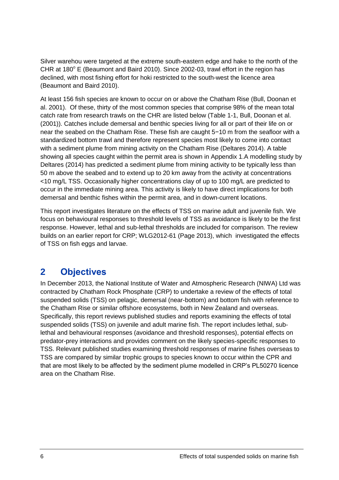Silver warehou were targeted at the extreme south-eastern edge and hake to the north of the CHR at  $180^\circ$  E [\(Beaumont and Baird 2010\)](#page-18-5). Since 2002-03, trawl effort in the region has declined, with most fishing effort for hoki restricted to the south-west the licence area [\(Beaumont and Baird 2010\)](#page-18-5).

At least 156 fish species are known to occur on or above the Chatham Rise [\(Bull, Doonan et](#page-18-6)  [al. 2001\)](#page-18-6). Of these, thirty of the most common species that comprise 98% of the mean total catch rate from research trawls on the CHR are listed below (Table 1-1, [Bull, Doonan et al.](#page-18-6)  (2001)). Catches include demersal and benthic species living for all or part of their life on or near the seabed on the Chatham Rise. These fish are caught 5−10 m from the seafloor with a standardized bottom trawl and therefore represent species most likely to come into contact with a sediment plume from mining activity on the Chatham Rise [\(Deltares 2014\)](#page-18-1). A table showing all species caught within the permit area is shown in Appendix 1.A modelling study by [Deltares \(2014\)](#page-18-1) has predicted a sediment plume from mining activity to be typically less than 50 m above the seabed and to extend up to 20 km away from the activity at concentrations <10 mg/L TSS. Occasionally higher concentrations clay of up to 100 mg/L are predicted to occur in the immediate mining area. This activity is likely to have direct implications for both demersal and benthic fishes within the permit area, and in down-current locations.

This report investigates literature on the effects of TSS on marine adult and juvenile fish. We focus on behavioural responses to threshold levels of TSS as avoidance is likely to be the first response. However, lethal and sub-lethal thresholds are included for comparison. The review builds on an earlier report for CRP; WLG2012-61 [\(Page 2013\)](#page-20-0), which investigated the effects of TSS on fish eggs and larvae.

## <span id="page-6-0"></span>**2 Objectives**

In December 2013, the National Institute of Water and Atmospheric Research (NIWA) Ltd was contracted by Chatham Rock Phosphate (CRP) to undertake a review of the effects of total suspended solids (TSS) on pelagic, demersal (near-bottom) and bottom fish with reference to the Chatham Rise or similar offshore ecosystems, both in New Zealand and overseas. Specifically, this report reviews published studies and reports examining the effects of total suspended solids (TSS) on juvenile and adult marine fish. The report includes lethal, sublethal and behavioural responses (avoidance and threshold responses), potential effects on predator-prey interactions and provides comment on the likely species-specific responses to TSS. Relevant published studies examining threshold responses of marine fishes overseas to TSS are compared by similar trophic groups to species known to occur within the CPR and that are most likely to be affected by the sediment plume modelled in CRP's PL50270 licence area on the Chatham Rise.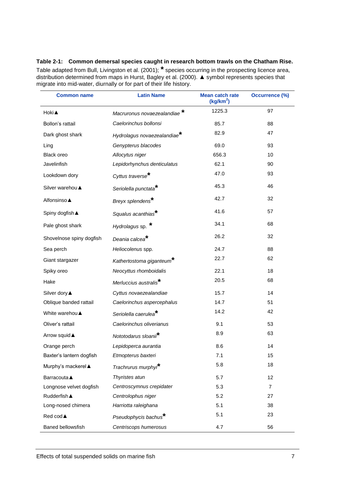<span id="page-7-0"></span>**Table 2-1: Common demersal species caught in research bottom trawls on the Chatham Rise.** Table adapted from Bull, Livingston et al. (2001); **\*** species occurring in the prospecting licence area, distribution determined from maps in Hurst, Bagley et al. (2000). ▲ symbol represents species that migrate into mid-water, diurnally or for part of their life history.

| <b>Common name</b>       | <b>Latin Name</b>                       | <b>Mean catch rate</b><br>(kg/km <sup>2</sup> ) | <b>Occurrence (%)</b> |  |
|--------------------------|-----------------------------------------|-------------------------------------------------|-----------------------|--|
| Hoki A                   | Macruronus novaezealandiae              | 1225.3                                          | 97                    |  |
| Bollon's rattail         | Caelorinchus bollonsi                   | 85.7                                            | 88                    |  |
| Dark ghost shark         | Hydrolagus novaezealandiae <sup>*</sup> | 82.9                                            | 47                    |  |
| Ling                     | Genypterus blacodes                     | 69.0                                            | 93                    |  |
| Black oreo               | Allocytus niger                         | 656.3                                           | 10                    |  |
| Javelinfish              | Lepidorhynchus denticulatus             | 62.1                                            | 90                    |  |
| Lookdown dory            | Cyttus traverse <sup>*</sup>            | 47.0                                            | 93                    |  |
| Silver warehou ▲         | Seriolella punctata <sup>*</sup>        | 45.3                                            | 46                    |  |
| Alfonsinso ▲             | Breyx splendens*                        | 42.7                                            | 32                    |  |
| Spiny dogfish ▲          | Squalus acanthias*                      | 41.6                                            | 57                    |  |
| Pale ghost shark         | Hydrolagus sp. *                        | 34.1                                            | 68                    |  |
| Shovelnose spiny dogfish | Deania calcea <sup>*</sup>              | 26.2                                            | 32                    |  |
| Sea perch                | Heliocolenus spp.                       | 24.7                                            | 88                    |  |
| Giant stargazer          | Kathertostoma giganteum <sup>*</sup>    | 22.7                                            | 62                    |  |
| Spiky oreo               | Neocyttus rhomboidalis                  | 22.1                                            | 18                    |  |
| Hake                     | Merluccius australis <sup>*</sup>       | 20.5                                            | 68                    |  |
| Silver dory ▲            | Cyttus novaezealandiae                  | 15.7                                            | 14                    |  |
| Oblique banded rattail   | Caelorinchus aspercephalus              | 14.7                                            | 51                    |  |
| White warehou A          | Seriolella caerulea <sup>*</sup>        | 14.2                                            | 42                    |  |
| Oliver's rattail         | Caelorinchus oliverianus                | 9.1                                             | 53                    |  |
| Arrow squid A            | Nototodarus sloanii <sup>*</sup>        | 8.9                                             | 63                    |  |
| Orange perch             | Lepidoperca aurantia                    | 8.6                                             | 14                    |  |
| Baxter's lantern dogfish | Etmopterus baxteri                      | 7.1                                             | 15                    |  |
| Murphy's mackerel ▲      | Trachrurus murphyi <sup>*</sup>         | 5.8                                             | 18                    |  |
| <b>Barracouta</b> ▲      | Thyristes atun                          | 5.7                                             | 12                    |  |
| Longnose velvet dogfish  | Centroscymnus crepidater                | 5.3                                             | $\overline{7}$        |  |
| <b>Rudderfish</b> ▲      | Centrolophus niger                      | 5.2                                             | 27                    |  |
| Long-nosed chimera       | Harriotta raleighana                    | 5.1                                             | 38                    |  |
| Red cod▲                 | Pseudophycis bachus <sup>*</sup>        | 5.1                                             | 23                    |  |
| Baned bellowsfish        | Centriscops humerosus                   | 4.7                                             | 56                    |  |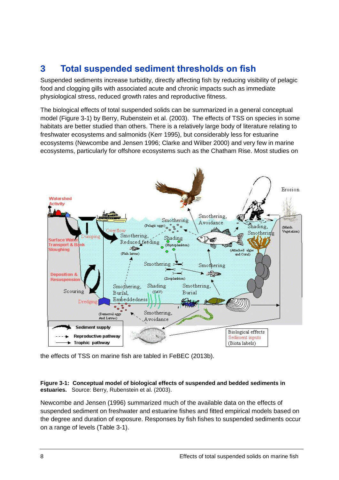## <span id="page-8-0"></span>**3 Total suspended sediment thresholds on fish**

Suspended sediments increase turbidity, directly affecting fish by reducing visibility of pelagic food and clogging gills with associated acute and chronic impacts such as immediate physiological stress, reduced growth rates and reproductive fitness.

The biological effects of total suspended solids can be summarized in a general conceptual model (Figure 3-1) by [Berry, Rubenstein et al. \(2003\).](#page-18-7) The effects of TSS on species in some habitats are better studied than others. There is a relatively large body of literature relating to freshwater ecosystems and salmonids [\(Kerr 1995\)](#page-19-1), but considerably less for estuarine ecosystems [\(Newcombe and Jensen 1996;](#page-20-1) [Clarke and Wilber 2000\)](#page-18-8) and very few in marine ecosystems, particularly for offshore ecosystems such as the Chatham Rise. Most studies on



the effects of TSS on marine fish are tabled in [FeBEC \(2013b\).](#page-19-0)

#### <span id="page-8-1"></span>**Figure 3-1: Conceptual model of biological effects of suspended and bedded sediments in estuaries.** Source: [Berry, Rubenstein et al. \(2003\).](#page-18-7)

[Newcombe and Jensen \(1996\)](#page-20-1) summarized much of the available data on the effects of suspended sediment on freshwater and estuarine fishes and fitted empirical models based on the degree and duration of exposure. Responses by fish fishes to suspended sediments occur on a range of levels (Table 3-1).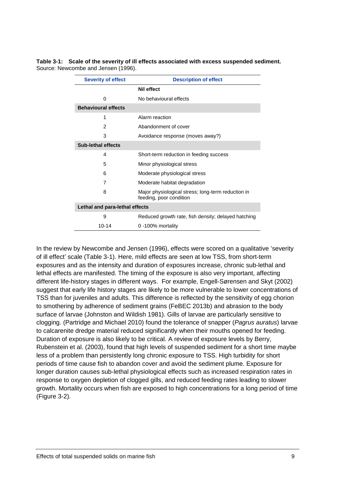#### <span id="page-9-0"></span>**Table 3-1: Scale of the severity of ill effects associated with excess suspended sediment.** Source: [Newcombe and Jensen \(1996\).](#page-20-1)

| <b>Severity of effect</b>      | <b>Description of effect</b>                                                  |
|--------------------------------|-------------------------------------------------------------------------------|
|                                | <b>Nil effect</b>                                                             |
| 0                              | No behavioural effects                                                        |
| <b>Behavioural effects</b>     |                                                                               |
| 1                              | Alarm reaction                                                                |
| 2                              | Abandonment of cover                                                          |
| 3                              | Avoidance response (moves away?)                                              |
| <b>Sub-lethal effects</b>      |                                                                               |
| 4                              | Short-term reduction in feeding success                                       |
| 5                              | Minor physiological stress                                                    |
| 6                              | Moderate physiological stress                                                 |
| 7                              | Moderate habitat degradation                                                  |
| 8                              | Major physiological stress; long-term reduction in<br>feeding, poor condition |
| Lethal and para-lethal effects |                                                                               |
| 9                              | Reduced growth rate, fish density; delayed hatching                           |
| 10-14                          | $0 - 100\%$ mortality                                                         |

In the review by [Newcombe and Jensen \(1996\),](#page-20-1) effects were scored on a qualitative 'severity of ill effect' scale (Table 3-1). Here, mild effects are seen at low TSS, from short-term exposures and as the intensity and duration of exposures increase, chronic sub-lethal and lethal effects are manifested. The timing of the exposure is also very important, affecting different life-history stages in different ways. For example, [Engell-Sørensen and Skyt \(2002\)](#page-19-2) suggest that early life history stages are likely to be more vulnerable to lower concentrations of TSS than for juveniles and adults. This difference is reflected by the sensitivity of egg chorion to smothering by adherence of sediment grains [\(FeBEC 2013b\)](#page-19-0) and abrasion to the body surface of larvae [\(Johnston and Wildish 1981\)](#page-19-3). Gills of larvae are particularly sensitive to clogging. [\(Partridge and Michael 2010\)](#page-20-2) found the tolerance of snapper (*Pagrus auratus*) larvae to calcarenite dredge material reduced significantly when their mouths opened for feeding. Duration of exposure is also likely to be critical. A review of exposure levels by [Berry,](#page-18-7)  [Rubenstein et al. \(2003\),](#page-18-7) found that high levels of suspended sediment for a short time maybe less of a problem than persistently long chronic exposure to TSS. High turbidity for short periods of time cause fish to abandon cover and avoid the sediment plume. Exposure for longer duration causes sub-lethal physiological effects such as increased respiration rates in response to oxygen depletion of clogged gills, and reduced feeding rates leading to slower growth. Mortality occurs when fish are exposed to high concentrations for a long period of time (Figure 3-2).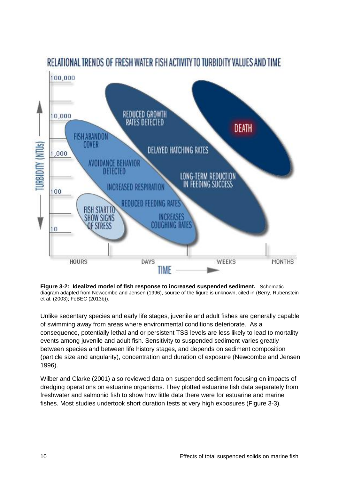

<span id="page-10-0"></span>

Unlike sedentary species and early life stages, juvenile and adult fishes are generally capable of swimming away from areas where environmental conditions deteriorate. As a consequence, potentially lethal and or persistent TSS levels are less likely to lead to mortality events among juvenile and adult fish. Sensitivity to suspended sediment varies greatly between species and between life history stages, and depends on sediment composition (particle size and angularity), concentration and duration of exposure [\(Newcombe and Jensen](#page-20-1)  [1996\)](#page-20-1).

[Wilber and Clarke \(2001\)](#page-20-3) also reviewed data on suspended sediment focusing on impacts of dredging operations on estuarine organisms. They plotted estuarine fish data separately from freshwater and salmonid fish to show how little data there were for estuarine and marine fishes. Most studies undertook short duration tests at very high exposures (Figure 3-3).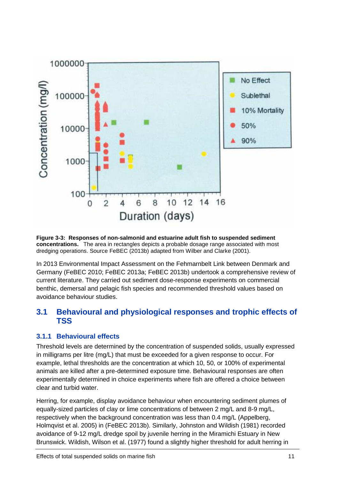

<span id="page-11-1"></span>**Figure 3-3: Responses of non-salmonid and estuarine adult fish to suspended sediment concentrations.** The area in rectangles depicts a probable dosage range associated with most dredging operations. Source [FeBEC \(2013b\)](#page-19-0) adapted from [Wilber and Clarke \(2001\).](#page-20-3)

In 2013 Environmental Impact Assessment on the Fehmarnbelt Link between Denmark and Germany [\(FeBEC 2010;](#page-19-4) [FeBEC 2013a;](#page-19-5) [FeBEC 2013b\)](#page-19-0) undertook a comprehensive review of current literature. They carried out sediment dose-response experiments on commercial benthic, demersal and pelagic fish species and recommended threshold values based on avoidance behaviour studies.

### <span id="page-11-0"></span>**3.1 Behavioural and physiological responses and trophic effects of TSS**

### **3.1.1 Behavioural effects**

Threshold levels are determined by the concentration of suspended solids, usually expressed in milligrams per litre (mg/L) that must be exceeded for a given response to occur. For example, lethal thresholds are the concentration at which 10, 50, or 100% of experimental animals are killed after a pre-determined exposure time. Behavioural responses are often experimentally determined in choice experiments where fish are offered a choice between clear and turbid water.

Herring, for example, display avoidance behaviour when encountering sediment plumes of equally-sized particles of clay or lime concentrations of between 2 mg/L and 8-9 mg/L, respectively when the background concentration was less than 0.4 mg/L [\(Appelberg,](#page-18-9)  [Holmqvist et al. 2005\)](#page-18-9) in [\(FeBEC 2013b\)](#page-19-0). Similarly, [Johnston and Wildish \(1981\)](#page-19-3) recorded avoidance of 9-12 mg/L dredge spoil by juvenile herring in the Miramichi Estuary in New Brunswick. [Wildish, Wilson et al. \(1977\)](#page-20-4) found a slightly higher threshold for adult herring in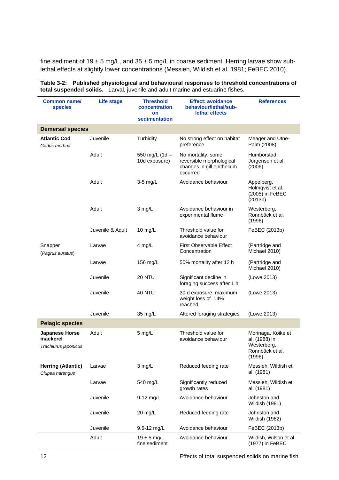fine sediment of  $19 \pm 5$  mg/L, and  $35 \pm 5$  mg/L in coarse sediment. Herring larvae show sublethal effects at slightly lower concentrations [\(Messieh, Wildish et al. 1981;](#page-19-6) [FeBEC 2010\)](#page-19-4).

| Common name/<br><b>species</b>                     | <b>Life stage</b> | <b>Threshold</b><br>concentration<br>on<br>sedimentation | <b>Effect: avoidance</b><br>behaviour/lethal/sub-<br>lethal effects                      | <b>References</b>                                                               |
|----------------------------------------------------|-------------------|----------------------------------------------------------|------------------------------------------------------------------------------------------|---------------------------------------------------------------------------------|
| <b>Demersal species</b>                            |                   |                                                          |                                                                                          |                                                                                 |
| <b>Atlantic Cod</b><br>Gadus morhua                | Juvenile          | Turbidity                                                | No strong effect on habitat<br>preference                                                | Meager and Utne-<br>Palm (2008)                                                 |
|                                                    | Adult             | 550 mg/L (1d -<br>10d exposure)                          | No mortality, some<br>reversible morphological<br>changes in gill epithelium<br>occurred | Humborstad,<br>Jorgensen et al.<br>(2006)                                       |
|                                                    | Adult             | $3-5$ mg/L                                               | Avoidance behaviour                                                                      | Appelberg,<br>Holmqvist et al.<br>(2005) in FeBEC<br>(2013b)                    |
|                                                    | Adult             | 3 mg/L                                                   | Avoidance behaviour in<br>experimental flume                                             | Westerberg,<br>Rönnbäck et al.<br>(1996)                                        |
|                                                    | Juvenile & Adult  | 10 $mg/L$                                                | Threshold value for<br>avoidance behaviour                                               | FeBEC (2013b)                                                                   |
| Snapper<br>(Pagrus auratus)                        | Larvae            | 4 mg/L                                                   | <b>First Observable Effect</b><br>Concentration                                          | (Partridge and<br>Michael 2010)                                                 |
|                                                    | Larvae            | 156 mg/L                                                 | 50% mortality after 12 h                                                                 | (Partridge and<br>Michael 2010)                                                 |
|                                                    | Juvenile          | <b>20 NTU</b>                                            | Significant decline in<br>foraging success after 1 h                                     | (Lowe 2013)                                                                     |
|                                                    | Juvenile          | <b>40 NTU</b>                                            | 30 d exposure, maximum<br>weight loss of 14%<br>reached                                  | (Lowe 2013)                                                                     |
|                                                    | Juvenile          | 35 mg/L                                                  | Altered foraging strategies                                                              | (Lowe 2013)                                                                     |
| <b>Pelagic species</b>                             |                   |                                                          |                                                                                          |                                                                                 |
| Japanese Horse<br>mackerel<br>Trachiurus japonicus | Adult             | 5 mg/L                                                   | Threshold value for<br>avoidance behaviour                                               | Morinaga, Koike et<br>al. (1988) in<br>Westerberg,<br>Rönnbäck et al.<br>(1996) |
| <b>Herring (Atlantic)</b><br>Clupea harengus       | Larvae            | $3$ mg/L                                                 | Reduced feeding rate                                                                     | Messieh, Wildish et<br>al. (1981)                                               |
|                                                    | Larvae            | 540 mg/L                                                 | Significantly reduced<br>growth rates                                                    | Messieh, Wildish et<br>al. (1981)                                               |
|                                                    | Juvenile          | 9-12 mg/L                                                | Avoidance behaviour                                                                      | Johnston and<br>Wildish (1981)                                                  |
|                                                    | Juvenile          | 20 mg/L                                                  | Reduced feeding rate                                                                     | Johnston and<br>Wildish (1982)                                                  |
|                                                    | Juvenile          | 9.5-12 mg/L                                              | Avoidance behaviour                                                                      | FeBEC (2013b)                                                                   |
|                                                    | Adult             | $19 \pm 5$ mg/L<br>fine sediment                         | Avoidance behaviour                                                                      | Wildish, Wilson et al.<br>(1977) in FeBEC                                       |

<span id="page-12-0"></span>**Table 3-2: Published physiological and behavioural responses to threshold concentrations of total suspended solids.** Larval, juvenile and adult marine and estuarine fishes.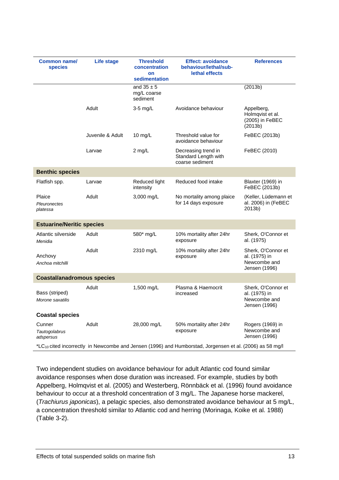| Common name/<br><b>species</b>       | Life stage                                                                                                           | <b>Threshold</b><br>concentration<br>on<br>sedimentation | <b>Effect: avoidance</b><br>behaviour/lethal/sub-<br>lethal effects | <b>References</b>                                                    |  |
|--------------------------------------|----------------------------------------------------------------------------------------------------------------------|----------------------------------------------------------|---------------------------------------------------------------------|----------------------------------------------------------------------|--|
|                                      |                                                                                                                      | and $35 \pm 5$<br>mg/L coarse<br>sediment                |                                                                     | (2013b)                                                              |  |
|                                      | Adult                                                                                                                | $3-5$ mg/L                                               | Avoidance behaviour                                                 | Appelberg,<br>Holmqvist et al.<br>(2005) in FeBEC<br>(2013b)         |  |
|                                      | Juvenile & Adult                                                                                                     | 10 $mg/L$                                                | Threshold value for<br>avoidance behaviour                          | FeBEC (2013b)                                                        |  |
|                                      | Larvae                                                                                                               | 2 mg/L                                                   | Decreasing trend in<br>Standard Length with<br>coarse sediment      | FeBEC (2010)                                                         |  |
| <b>Benthic species</b>               |                                                                                                                      |                                                          |                                                                     |                                                                      |  |
| Flatfish spp.                        | Larvae                                                                                                               | Reduced light<br>intensity                               | Reduced food intake                                                 | Blaxter (1969) in<br>FeBEC (2013b)                                   |  |
| Plaice<br>Pleuronectes<br>platessa   | Adult                                                                                                                | 3,000 mg/L                                               | No mortality among plaice<br>for 14 days exposure                   | (Keller, Lüdemann et<br>al. 2006) in (FeBEC<br>2013b)                |  |
| <b>Estuarine/Neritic species</b>     |                                                                                                                      |                                                          |                                                                     |                                                                      |  |
| Atlantic silverside<br>Menidia       | Adult                                                                                                                | 580* mg/L                                                | 10% mortality after 24hr<br>exposure                                | Sherk, O'Connor et<br>al. (1975)                                     |  |
| Anchovy<br>Anchoa mitchilli          | Adult                                                                                                                | 2310 mg/L                                                | 10% mortality after 24hr<br>exposure                                | Sherk, O'Connor et<br>al. (1975) in<br>Newcombe and<br>Jensen (1996) |  |
| <b>Coastal/anadromous species</b>    |                                                                                                                      |                                                          |                                                                     |                                                                      |  |
| Bass (striped)<br>Morone saxatilis   | Adult                                                                                                                | 1,500 mg/L                                               | Plasma & Haemocrit<br>increased                                     | Sherk, O'Connor et<br>al. (1975) in<br>Newcombe and<br>Jensen (1996) |  |
| <b>Coastal species</b>               |                                                                                                                      |                                                          |                                                                     |                                                                      |  |
| Cunner<br>Tautogolabrus<br>adspersus | Adult                                                                                                                | 28,000 mg/L                                              | 50% mortality after 24hr<br>exposure                                | Rogers (1969) in<br>Newcombe and<br>Jensen (1996)                    |  |
|                                      | *LC <sub>10</sub> cited incorrectly in Newcombe and Jensen (1996) and Humborstad, Jorgensen et al. (2006) as 58 mg/l |                                                          |                                                                     |                                                                      |  |

Two independent studies on avoidance behaviour for adult Atlantic cod found similar avoidance responses when dose duration was increased. For example, studies by both [Appelberg, Holmqvist et al. \(2005\)](#page-18-9) and [Westerberg, Rönnbäck et al. \(1996\)](#page-20-5) found avoidance behaviour to occur at a threshold concentration of 3 mg/L. The Japanese horse mackerel, (*Trachiurus japonicas*), a pelagic species, also demonstrated avoidance behaviour at 5 mg/L, a concentration threshold similar to Atlantic cod and herring [\(Morinaga, Koike et al. 1988\)](#page-19-10) (Table 3-2).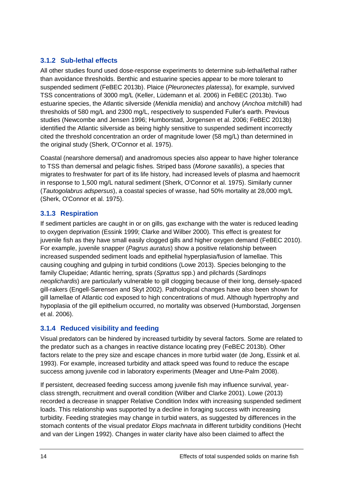### **3.1.2 Sub-lethal effects**

All other studies found used dose-response experiments to determine sub-lethal/lethal rather than avoidance thresholds. Benthic and estuarine species appear to be more tolerant to suspended sediment [\(FeBEC 2013b\)](#page-19-0). Plaice (*Pleuronectes platessa*), for example, survived TSS concentrations of 3000 mg/L [\(Keller, Lüdemann et al. 2006\)](#page-19-12) in [FeBEC \(2013b\).](#page-19-0) Two estuarine species, the Atlantic silverside (*Menidia menidia*) and anchovy (*Anchoa mitchilli*) had thresholds of 580 mg/L and 2300 mg/L, respectively to suspended Fuller's earth. Previous studies [\(Newcombe and Jensen 1996;](#page-20-1) [Humborstad, Jorgensen et al. 2006;](#page-19-8) [FeBEC 2013b\)](#page-19-0) identified the Atlantic silverside as being highly sensitive to suspended sediment incorrectly cited the threshold concentration an order of magnitude lower (58 mg/L) than determined in the original study [\(Sherk, O'Connor et al. 1975\)](#page-20-6).

Coastal (nearshore demersal) and anadromous species also appear to have higher tolerance to TSS than demersal and pelagic fishes. Striped bass (*Morone saxatilis*), a species that migrates to freshwater for part of its life history, had increased levels of plasma and haemocrit in response to 1,500 mg/L natural sediment [\(Sherk, O'Connor et al. 1975\)](#page-20-6). Similarly cunner (*Tautogolabrus adspersus*), a coastal species of wrasse, had 50% mortality at 28,000 mg/L [\(Sherk, O'Connor et al. 1975\)](#page-20-6).

### **3.1.3 Respiration**

If sediment particles are caught in or on gills, gas exchange with the water is reduced leading to oxygen deprivation [\(Essink 1999;](#page-19-13) [Clarke and Wilber 2000\)](#page-18-8). This effect is greatest for juvenile fish as they have small easily clogged gills and higher oxygen demand [\(FeBEC 2010\)](#page-19-4). For example, juvenile snapper (*Pagrus auratus*) show a positive relationship between increased suspended sediment loads and epithelial hyperplasia/fusion of lamellae. This causing coughing and gulping in turbid conditions [\(Lowe 2013\)](#page-19-9). Species belonging to the family Clupeidae; Atlantic herring, sprats (*Sprattus* spp.) and pilchards (*Sardinops neoplichardis*) are particularly vulnerable to gill clogging because of their long, densely-spaced gill-rakers [\(Engell-Sørensen and Skyt 2002\)](#page-19-2). Pathological changes have also been shown for gill lamellae of Atlantic cod exposed to high concentrations of mud. Although hypertrophy and hypoplasia of the gill epithelium occurred, no mortality was observed [\(Humborstad, Jorgensen](#page-19-8)  [et al. 2006\)](#page-19-8).

### **3.1.4 Reduced visibility and feeding**

Visual predators can be hindered by increased turbidity by several factors. Some are related to the predator such as a changes in reactive distance locating prey [\(FeBEC 2013b\)](#page-19-0). Other factors relate to the prey size and escape chances in more turbid water [\(de Jong, Essink et al.](#page-18-11)  [1993\)](#page-18-11). For example, increased turbidity and attack speed was found to reduce the escape success among juvenile cod in laboratory experiments [\(Meager and Utne-Palm 2008\)](#page-19-7).

If persistent, decreased feeding success among juvenile fish may influence survival, yearclass strength, recruitment and overall condition [\(Wilber and Clarke 2001\)](#page-20-3). [Lowe \(2013\)](#page-19-9) recorded a decrease in snapper Relative Condition Index with increasing suspended sediment loads. This relationship was supported by a decline in foraging success with increasing turbidity. Feeding strategies may change in turbid waters, as suggested by differences in the stomach contents of the visual predator *Elops machnata* in different turbidity conditions [\(Hecht](#page-19-14)  [and van der Lingen 1992\)](#page-19-14). Changes in water clarity have also been claimed to affect the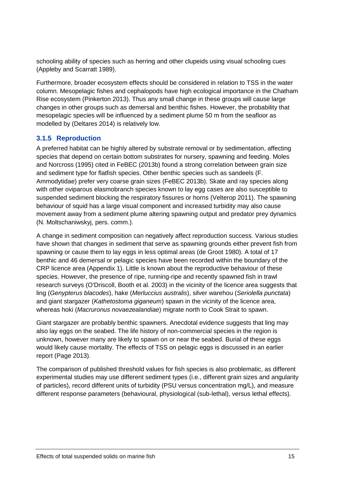schooling ability of species such as herring and other clupeids using visual schooling cues [\(Appleby and Scarratt 1989\)](#page-18-12).

Furthermore, broader ecosystem effects should be considered in relation to TSS in the water column. Mesopelagic fishes and cephalopods have high ecological importance in the Chatham Rise ecosystem [\(Pinkerton 2013\)](#page-20-8). Thus any small change in these groups will cause large changes in other groups such as demersal and benthic fishes. However, the probability that mesopelagic species will be influenced by a sediment plume 50 m from the seafloor as modelled by [\(Deltares 2014\)](#page-18-1) is relatively low.

### **3.1.5 Reproduction**

A preferred habitat can be highly altered by substrate removal or by sedimentation, affecting species that depend on certain bottom substrates for nursery, spawning and feeding. [Moles](#page-19-15)  and Norcross (1995) cited in [FeBEC \(2013b\)](#page-19-0) found a strong correlation between grain size and sediment type for flatfish species. Other benthic species such as sandeels (F. Ammodytidae) prefer very coarse grain sizes [\(FeBEC 2013b\)](#page-19-0). Skate and ray species along with other oviparous elasmobranch species known to lay egg cases are also susceptible to suspended sediment blocking the respiratory fissures or horns [\(Velterop 2011\)](#page-20-9). The spawning behaviour of squid has a large visual component and increased turbidity may also cause movement away from a sediment plume altering spawning output and predator prey dynamics (N. Moltschaniwskyj, pers. comm.).

A change in sediment composition can negatively affect reproduction success. Various studies have shown that changes in sediment that serve as spawning grounds either prevent fish from spawning or cause them to lay eggs in less optimal areas [\(de Groot 1980\)](#page-18-13). A total of 17 benthic and 46 demersal or pelagic species have been recorded within the boundary of the CRP licence area (Appendix 1). Little is known about the reproductive behaviour of these species. However, the presence of ripe, running-ripe and recently spawned fish in trawl research surveys [\(O'Driscoll, Booth et al. 2003\)](#page-20-10) in the vicinity of the licence area suggests that ling (*Genypterus blacodes*), hake (*Merluccius australis*), silver warehou (*Seriolella punctata*) and giant stargazer (*Kathetostoma giganeum*) spawn in the vicinity of the licence area, whereas hoki (*Macruronus novaezealandiae*) migrate north to Cook Strait to spawn.

Giant stargazer are probably benthic spawners. Anecdotal evidence suggests that ling may also lay eggs on the seabed. The life history of non-commercial species in the region is unknown, however many are likely to spawn on or near the seabed. Burial of these eggs would likely cause mortality. The effects of TSS on pelagic eggs is discussed in an earlier report [\(Page 2013\)](#page-20-0).

The comparison of published threshold values for fish species is also problematic, as different experimental studies may use different sediment types (i.e., different grain sizes and angularity of particles), record different units of turbidity (PSU versus concentration mg/L), and measure different response parameters (behavioural, physiological (sub-lethal), versus lethal effects).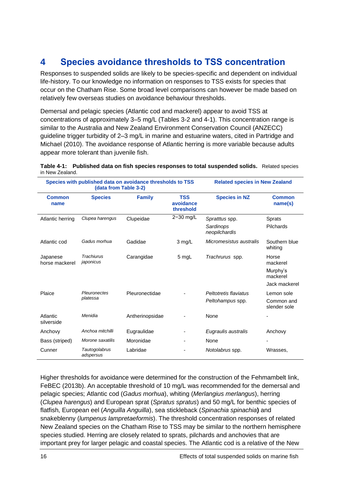### <span id="page-16-0"></span>**4 Species avoidance thresholds to TSS concentration**

Responses to suspended solids are likely to be species-specific and dependent on individual life-history. To our knowledge no information on responses to TSS exists for species that occur on the Chatham Rise. Some broad level comparisons can however be made based on relatively few overseas studies on avoidance behaviour thresholds.

Demersal and pelagic species (Atlantic cod and mackerel) appear to avoid TSS at concentrations of approximately 3–5 mg/L (Tables 3-2 and 4-1). This concentration range is similar to the Australia and New Zealand Environment Conservation Council (ANZECC) guideline trigger turbidity of 2–3 mg/L in marine and estuarine waters, cited in [Partridge and](#page-20-2)  Michael (2010). The avoidance response of Atlantic herring is more variable because adults appear more tolerant than juvenile fish.

<span id="page-16-1"></span>

|                 | Table 4-1: Published data on fish species responses to total suspended solids. Related species |  |
|-----------------|------------------------------------------------------------------------------------------------|--|
| in New Zealand. |                                                                                                |  |

| Species with published data on avoidance thresholds to TSS<br>(data from Table 3-2) |                                |                 |                                      | <b>Related species in New Zealand</b>        |                                                            |
|-------------------------------------------------------------------------------------|--------------------------------|-----------------|--------------------------------------|----------------------------------------------|------------------------------------------------------------|
| <b>Common</b><br>name                                                               | <b>Species</b>                 | <b>Family</b>   | <b>TSS</b><br>avoidance<br>threshold | <b>Species in NZ</b>                         | <b>Common</b><br>name(s)                                   |
| Atlantic herring                                                                    | Clupea harengus                | Clupeidae       | 2-30 mg/L                            | Spratttus spp.<br>Sardinops<br>neopilchardis | <b>Sprats</b><br>Pilchards                                 |
| Atlantic cod                                                                        | Gadus morhua                   | Gadidae         | $3 \text{ mg/L}$                     | Micromesistus australis                      | Southern blue<br>whiting                                   |
| Japanese<br>horse mackerel                                                          | <b>Trachiurus</b><br>japonicus | Carangidae      | 5 mgL                                | Trachrurus spp.                              | Horse<br>mackerel<br>Murphy's<br>mackerel<br>Jack mackerel |
| Plaice                                                                              | Pleuronectes<br>platessa       | Pleuronectidae  |                                      | Peltotretis flaviatus<br>Peltohampus spp.    | Lemon sole<br>Common and<br>slender sole                   |
| Atlantic<br>silverside                                                              | Menidia                        | Antherinopsidae |                                      | None                                         |                                                            |
| Anchovy                                                                             | Anchoa mitchilli               | Eugraulidae     |                                      | Eugraulis australis                          | Anchovy                                                    |
| Bass (striped)                                                                      | Morone saxatilis               | Moronidae       | ٠                                    | None                                         |                                                            |
| Cunner                                                                              | Tautogolabrus<br>adspersus     | Labridae        |                                      | Notolabrus spp.                              | Wrasses,                                                   |

Higher thresholds for avoidance were determined for the construction of the Fehmambelt link, [FeBEC \(2013b\).](#page-19-0) An acceptable threshold of 10 mg/L was recommended for the demersal and pelagic species; Atlantic cod (*Gadus morhua*), whiting (*Merlangius merlangus*), herring (*Clupea harengus*) and European sprat (*Spratus spratus*) and 50 mg/L for benthic species of flatfish, European eel (*Anguilla Anguilla*), sea stickleback (*Spinachia spinachia***)** and snakeblenny (*lumpenus lampretaeformis*). The threshold concentration responses of related New Zealand species on the Chatham Rise to TSS may be similar to the northern hemisphere species studied. Herring are closely related to sprats, pilchards and anchovies that are important prey for larger pelagic and coastal species. The Atlantic cod is a relative of the New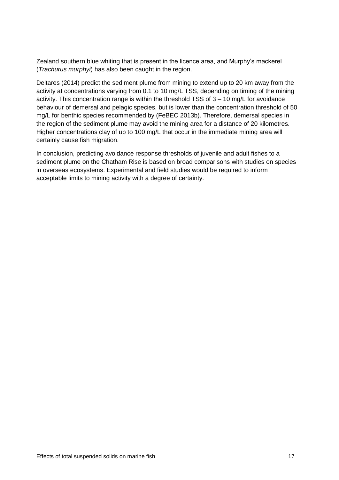Zealand southern blue whiting that is present in the licence area, and Murphy's mackerel (*Trachurus murphyi*) has also been caught in the region.

[Deltares \(2014\)](#page-18-1) predict the sediment plume from mining to extend up to 20 km away from the activity at concentrations varying from 0.1 to 10 mg/L TSS, depending on timing of the mining activity. This concentration range is within the threshold TSS of 3 – 10 mg/L for avoidance behaviour of demersal and pelagic species, but is lower than the concentration threshold of 50 mg/L for benthic species recommended by [\(FeBEC 2013b\)](#page-19-0). Therefore, demersal species in the region of the sediment plume may avoid the mining area for a distance of 20 kilometres. Higher concentrations clay of up to 100 mg/L that occur in the immediate mining area will certainly cause fish migration.

In conclusion, predicting avoidance response thresholds of juvenile and adult fishes to a sediment plume on the Chatham Rise is based on broad comparisons with studies on species in overseas ecosystems. Experimental and field studies would be required to inform acceptable limits to mining activity with a degree of certainty.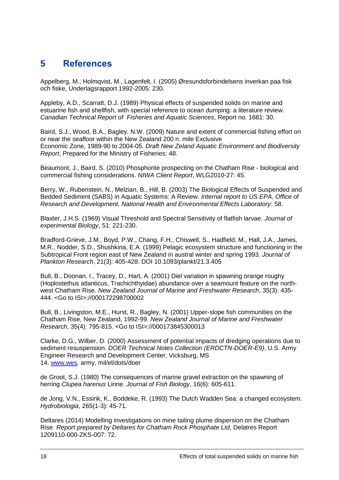### <span id="page-18-0"></span>**5 References**

<span id="page-18-9"></span>Appelberg, M., Holmqvist, M., Lagenfelt, I. (2005) Øresundsforbindelsens inverkan paa fisk och fiske, Underlagsrapport 1992-2005: 230.

<span id="page-18-12"></span>Appleby, A.D., Scarratt, D.J. (1989) Physical effects of suspended solids on marine and estuarine fish and shellfish, with special reference to ocean dumping: a literature review. *Canadian Technical Report of Fisheries and Aquatic Sciences*, Report no. 1681: 30.

<span id="page-18-4"></span>Baird, S.J., Wood, B.A., Bagley, N.W. (2009) Nature and extent of commercial fishing effort on or near the seafloor within the New Zealand 200 n. mile Exclusive Economic Zone, 1989-90 to 2004-05. *Draft New Zeland Aquatic Environment and Biodiversity Report*, Prepared for the Ministry of Fisheries: 48.

<span id="page-18-5"></span>Beaumont, J., Baird, S. (2010) Phosphorite prospecting on the Chatham Rise - biological and commercial fishing considerations. *NIWA Client Report*, WLG2010-27: 45.

<span id="page-18-7"></span>Berry, W., Rubenstein, N., Melzian, B., Hill, B. (2003) The Biological Effects of Suspended and Bedded Sediment (SABS) in Aquatic Systems: A Review. *Internal report to US EPA, Office of Research and Development, National Health and Environmental Effects Laboratory*: 58.

<span id="page-18-10"></span>Blaxter, J.H.S. (1969) Visual Threshold and Spectral Sensitivity of flatfish larvae. *Journal of experimental Biology*, 51: 221-230.

<span id="page-18-2"></span>Bradford-Grieve, J.M., Boyd, P.W., Chang, F.H., Chiswell, S., Hadfield, M., Hall, J.A., James, M.R., Nodder, S.D., Shushkina, E.A. (1999) Pelagic ecosystem structure and functioning in the Subtropical Front region east of New Zealand in austral winter and spring 1993. *Journal of Plankton Research*, 21(3): 405-428. DOI 10.1093/plankt/21.3.405

<span id="page-18-6"></span>Bull, B., Doonan, I., Tracey, D., Hart, A. (2001) Diel variation in spawning orange roughy (Hoplostethus atlanticus, Trachichthyidae) abundance over a seamount feature on the northwest Chatham Rise. *New Zealand Journal of Marine and Freshwater Research*, 35(3): 435- 444. <Go to ISI>://000172298700002

<span id="page-18-3"></span>Bull, B., Livingston, M.E., Hurst, R., Bagley, N. (2001) Upper-slope fish communities on the Chatham Rise, New Zealand, 1992-99. *New Zealand Journal of Marine and Freshwater Research*, 35(4): 795-815. <Go to ISI>://000173845300013

<span id="page-18-8"></span>Clarke, D.G., Wilber, D. (2000) Assessment of potential impacts of dredging operations due to sediment resuspension. *DOER Technical Notes Collection (ERDCTN-DOER-E9)*, U.S. Army Engineer Research and Development Center, Vicksburg, MS 14. [www.wes.](http://www.wes/) army, mil/el/dots/doer

<span id="page-18-13"></span>de Groot, S.J. (1980) The consequences of marine gravel extraction on the spawning of herring *Clupea harenus* Linne. *Journal of Fish Biology*, 16(6): 605-611.

<span id="page-18-11"></span>de Jong, V.N., Essink, K., Boddeke, R. (1993) The Dutch Wadden Sea: a changed ecosystem. *Hydrobiologia*, 265(1-3): 45-71.

<span id="page-18-1"></span>Deltares (2014) Modelling investigations on mine tailing plume dispersion on the Chatham Rise *Report prepared by Deltares for Chatham Rock Phosphate Ltd*, Delatres Report 1209110-000-ZKS-007: 72.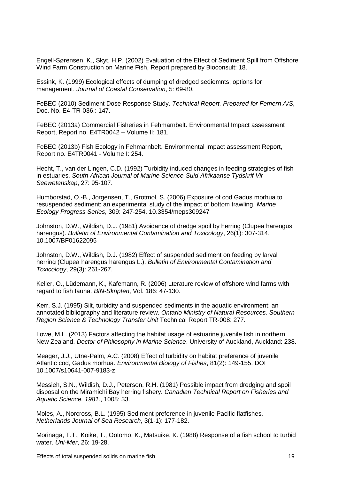<span id="page-19-2"></span>Engell-Sørensen, K., Skyt, H.P. (2002) Evaluation of the Effect of Sediment Spill from Offshore Wind Farm Construction on Marine Fish, Report prepared by Bioconsult: 18.

<span id="page-19-13"></span>Essink, K. (1999) Ecological effects of dumping of dredged sediemnts; options for management. *Journal of Coastal Conservation*, 5: 69-80.

<span id="page-19-4"></span>FeBEC (2010) Sediment Dose Response Study. *Technical Report. Prepared for Femern A/S*, Doc. No. E4-TR-036.: 147.

<span id="page-19-5"></span>FeBEC (2013a) Commercial Fisheries in Fehmarnbelt. Environmental Impact assessment Report, Report no. E4TR0042 – Volume II: 181.

<span id="page-19-0"></span>FeBEC (2013b) Fish Ecology in Fehmarnbelt. Environmental Impact assessment Report, Report no. E4TR0041 - Volume I: 254.

<span id="page-19-14"></span>Hecht, T., van der Lingen, C.D. (1992) Turbidity induced changes in feeding strategies of fish in estuaries. *South African Journal of Marine Science-Suid-Afrikaanse Tydskrif Vir Seewetenskap*, 27: 95-107.

<span id="page-19-8"></span>Humborstad, O.-B., Jorgensen, T., Grotmol, S. (2006) Exposure of cod Gadus morhua to resuspended sediment: an experimental study of the impact of bottom trawling. *Marine Ecology Progress Series*, 309: 247-254. 10.3354/meps309247

<span id="page-19-3"></span>Johnston, D.W., Wildish, D.J. (1981) Avoidance of dredge spoil by herring (Clupea harengus harengus). *Bulletin of Environmental Contamination and Toxicology*, 26(1): 307-314. 10.1007/BF01622095

<span id="page-19-11"></span>Johnston, D.W., Wildish, D.J. (1982) Effect of suspended sediment on feeding by larval herring (Clupea harengus harengus L.). *Bulletin of Environmental Contamination and Toxicology*, 29(3): 261-267.

<span id="page-19-12"></span>Keller, O., Lüdemann, K., Kafemann, R. (2006) Lterature review of offshore wind farms with regard to fish fauna. *BfN-Skripten*, Vol. 186: 47-130.

<span id="page-19-1"></span>Kerr, S.J. (1995) Silt, turbidity and suspended sediments in the aquatic environment: an annotated bibliography and literature review. *Ontario Ministry of Natural Resources, Southern Region Science & Technology Transfer Unit* Technical Report TR-008: 277.

<span id="page-19-9"></span>Lowe, M.L. (2013) Factors affecting the habitat usage of estuarine juvenile fish in northern New Zealand. *Doctor of Philosophy in Marine Science*. University of Auckland, Auckland: 238.

<span id="page-19-7"></span>Meager, J.J., Utne-Palm, A.C. (2008) Effect of turbidity on habitat preference of juvenile Atlantic cod, Gadus morhua. *Environmental Biology of Fishes*, 81(2): 149-155. DOI 10.1007/s10641-007-9183-z

<span id="page-19-6"></span>Messieh, S.N., Wildish, D.J., Peterson, R.H. (1981) Possible impact from dredging and spoil disposal on the Miramichi Bay herring fishery. *Canadian Technical Report on Fisheries and Aquatic Science. 1981.*, 1008: 33.

<span id="page-19-15"></span>Moles, A., Norcross, B.L. (1995) Sediment preference in juvenile Pacific flatfishes. *Netherlands Journal of Sea Research*, 3(1-1): 177-182.

<span id="page-19-10"></span>Morinaga, T.T., Koike, T., Ootomo, K., Matsuike, K. (1988) Response of a fish school to turbid water. *Uni-Mer*, 26: 19-28.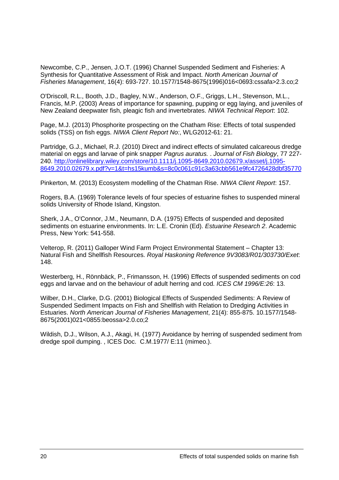<span id="page-20-1"></span>Newcombe, C.P., Jensen, J.O.T. (1996) Channel Suspended Sediment and Fisheries: A Synthesis for Quantitative Assessment of Risk and Impact. *North American Journal of Fisheries Management*, 16(4): 693-727. 10.1577/1548-8675(1996)016<0693:cssafa>2.3.co;2

<span id="page-20-10"></span>O'Driscoll, R.L., Booth, J.D., Bagley, N.W., Anderson, O.F., Griggs, L.H., Stevenson, M.L., Francis, M.P. (2003) Areas of importance for spawning, pupping or egg laying, and juveniles of New Zealand deepwater fish, pleagic fish and invertebrates. *NIWA Technical Report*: 102.

<span id="page-20-0"></span>Page, M.J. (2013) Phosphorite prospecting on the Chatham Rise: Effects of total suspended solids (TSS) on fish eggs. *NIWA Client Report No:*, WLG2012-61: 21.

<span id="page-20-2"></span>Partridge, G.J., Michael, R.J. (2010) Direct and indirect effects of simulated calcareous dredge material on eggs and larvae of pink snapper *Pagrus auratus.* . *Journal of Fish Biology*, 77 227- 240. [http://onlinelibrary.wiley.com/store/10.1111/j.1095-8649.2010.02679.x/asset/j.1095-](http://onlinelibrary.wiley.com/store/10.1111/j.1095-8649.2010.02679.x/asset/j.1095-8649.2010.02679.x.pdf?v=1&t=hs15kumb&s=8c0c061c91c3a63cbb561e9fc4726428dbf35770) [8649.2010.02679.x.pdf?v=1&t=hs15kumb&s=8c0c061c91c3a63cbb561e9fc4726428dbf35770](http://onlinelibrary.wiley.com/store/10.1111/j.1095-8649.2010.02679.x/asset/j.1095-8649.2010.02679.x.pdf?v=1&t=hs15kumb&s=8c0c061c91c3a63cbb561e9fc4726428dbf35770)

<span id="page-20-8"></span>Pinkerton, M. (2013) Ecosystem modelling of the Chatman Rise. *NIWA Client Report*: 157.

<span id="page-20-7"></span>Rogers, B.A. (1969) Tolerance levels of four species of estuarine fishes to suspended mineral solids University of Rhode Island, Kingston.

<span id="page-20-6"></span>Sherk, J.A., O'Connor, J.M., Neumann, D.A. (1975) Effects of suspended and deposited sediments on estuarine environments. In: L.E. Cronin (Ed). *Estuarine Research 2*. Academic Press, New York: 541-558.

<span id="page-20-9"></span>Velterop, R. (2011) Galloper Wind Farm Project Environmental Statement – Chapter 13: Natural Fish and Shellfish Resources. *Royal Haskoning Reference 9V3083/R01/303730/Exet*: 148.

<span id="page-20-5"></span>Westerberg, H., Rönnbäck, P., Frimansson, H. (1996) Effects of suspended sediments on cod eggs and larvae and on the behaviour of adult herring and cod. *ICES CM 1996/E:26*: 13.

<span id="page-20-3"></span>Wilber, D.H., Clarke, D.G. (2001) Biological Effects of Suspended Sediments: A Review of Suspended Sediment Impacts on Fish and Shellfish with Relation to Dredging Activities in Estuaries. *North American Journal of Fisheries Management*, 21(4): 855-875. 10.1577/1548- 8675(2001)021<0855:beossa>2.0.co;2

<span id="page-20-4"></span>Wildish, D.J., Wilson, A.J., Akagi, H. (1977) Avoidance by herring of suspended sediment from dredge spoil dumping. , ICES Doc. C.M.1977/ E:11 (mimeo.).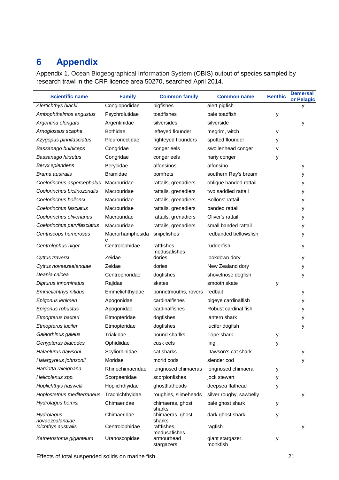## <span id="page-21-0"></span>**6 Appendix**

Appendix 1. Ocean Biogeographical Information System (OBIS) output of species sampled by research trawl in the CRP licence area 50270, searched April 2014.

| <b>Scientific name</b>        | <b>Family</b>       | <b>Common family</b>        | <b>Common name</b>           | <b>Benthic</b> | <b>Demersal</b><br>or Pelagic |
|-------------------------------|---------------------|-----------------------------|------------------------------|----------------|-------------------------------|
| Alertichthys blacki           | Congiopodidae       | pigfishes                   | alert pigfish                |                | у                             |
| Ambophthalmos angustus        | Psychrolutidae      | toadfishes                  | pale toadfish                | у              |                               |
| Argentina elongata            | Argentinidae        | silversides                 | silverside                   |                | у                             |
| Arnoglossus scapha            | <b>Bothidae</b>     | lefteyed flounder           | megrim, witch                | у              |                               |
| Azygopus pinnifasciatus       | Pleuronectidae      | righteyed flounders         | spotted flounder             | У              |                               |
| Bassanago bulbiceps           | Congridae           | conger eels                 | swollenhead conger           | у              |                               |
| Bassanago hirsutus            | Congridae           | conger eels                 | hariy conger                 | у              |                               |
| Beryx splendens               | Berycidae           | alfonsinos                  | alfonsino                    |                | у                             |
| Brama australis               | <b>Bramidae</b>     | pomfrets                    | southern Ray's bream         |                | у                             |
| Coelorinchus aspercephalus    | Macrouridae         | rattails, grenadiers        | oblique banded rattail       |                | у                             |
| Coelorinchus biclinozonalis   | Macrouridae         | rattails, grenadiers        | two saddled rattail          |                | у                             |
| Coelorinchus bollonsi         | Macrouridae         | rattails, grenadiers        | Bollons' rattail             |                | у                             |
| Coelorinchus fasciatus        | Macrouridae         | rattails, grenadiers        | banded rattail               |                | у                             |
| Coelorinchus oliverianus      | Macrouridae         | rattails, grenadiers        | Oliver's rattail             |                | у                             |
| Coelorinchus parvifasciatus   | Macrouridae         | rattails, grenadiers        | small banded rattail         |                | у                             |
| Centriscops humerosus         | Macrorhamphosida    | snipefishes                 | redbanded bellowsfish        |                | у                             |
| Centrolophus niger            | e<br>Centrolophidae | raftfishes,<br>medusafishes | rudderfish                   |                | у                             |
| Cyttus traversi               | Zeidae              | dories                      | lookdown dory                |                | y                             |
| Cyttus novaezealandiae        | Zeidae              | dories                      | New Zealand dory             |                | y                             |
| Deania calcea                 | Centrophoridae      | dogfishes                   | shovelnose dogfish           |                | y                             |
| Dipturus innominatus          | Rajidae             | skates                      | smooth skate                 | у              |                               |
| <b>Emmelichthys nitidus</b>   | Emmelichthyidae     | bonnetmouths, rovers        | redbait                      |                | y                             |
| Epigonus lenimen              | Apogonidae          | cardinalfishes              | bigeye cardinalfish          |                | у                             |
| Epigonus robustus             | Apogonidae          | cardinalfishes              | Robust cardinal fish         |                | у                             |
| Etmopterus baxteri            | Etmopteridae        | dogfishes                   | lantern shark                |                | у                             |
| Etmopterus lucifer            | Etmopteridae        | dogfishes                   | lucifer dogfish              |                | у                             |
| Galeorhinus galeus            | Triakidae           | hound sharlks               | Tope shark                   | у              |                               |
| Genypterus blacodes           | Ophidiidae          | cusk eels                   | ling                         | у              |                               |
| Halaelurus dawsoni            | Scyliorhinidae      | cat sharks                  | Dawson's cat shark           |                | у                             |
| Halargyreus johnsonii         | Moridae             | morid cods                  | slender cod                  |                | у                             |
| Harriotta raleighana          | Rhinochimaeridae    | longnosed chimaeras         | longnosed chimaera           | у              |                               |
| Helicolenus spp.              | Scorpaenidae        | scorpionfishes              | jock stewart                 | у              |                               |
| Hoplichthys haswelli          | Hoplichthyidae      | ghostflatheads              | deepsea flathead             | у              |                               |
| Hoplostethus mediterraneus    | Trachichthyidae     | roughies, slimeheads        | silver roughy, sawbelly      |                | у                             |
| Hydrolagus bemisi             | Chimaeridae         | chimaeras, ghost<br>sharks  | pale ghost shark             | у              |                               |
| Hydrolagus<br>novaezealandiae | Chimaeridae         | chimaeras, ghost<br>sharks  | dark ghost shark             | у              |                               |
| Icichthys australis           | Centrolophidae      | raftfishes,<br>medusafishes | ragfish                      |                | у                             |
| Kathetostoma giganteum        | Uranoscopidae       | armourhead<br>stargazers    | giant stargazer,<br>monkfish | у              |                               |